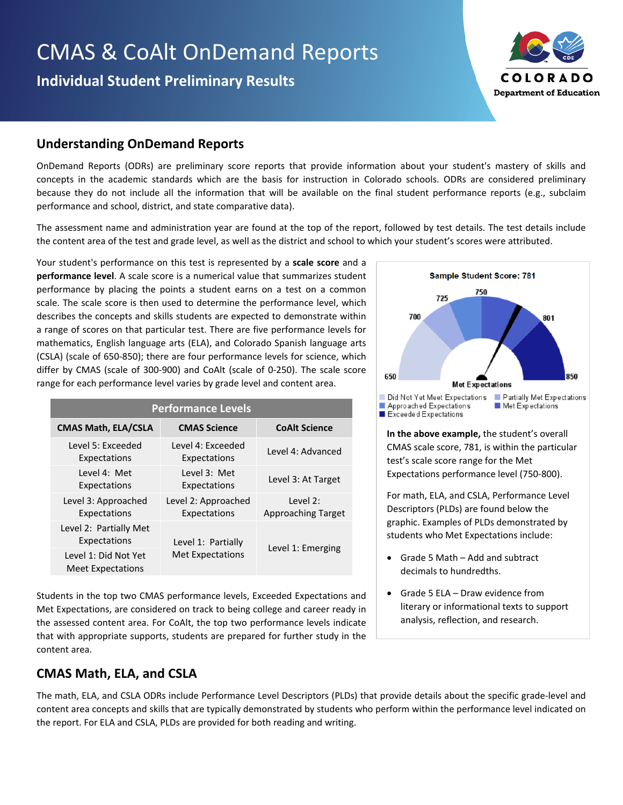# CMAS & CoAlt OnDemand Reports

# **Individual Student Preliminary Results**



## **Understanding OnDemand Reports**

OnDemand Reports (ODRs) are preliminary score reports that provide information about your student's mastery of skills and concepts in the academic standards which are the basis for instruction in Colorado schools. ODRs are considered preliminary because they do not include all the information that will be available on the final student performance reports (e.g., subclaim performance and school, district, and state comparative data).

The assessment name and administration year are found at the top of the report, followed by test details. The test details include the content area of the test and grade level, as well as the district and school to which your student's scores were attributed.

Your student's performance on this test is represented by a **scale score** and a **performance level**. A scale score is a numerical value that summarizes student performance by placing the points a student earns on a test on a common scale. The scale score is then used to determine the performance level, which describes the concepts and skills students are expected to demonstrate within a range of scores on that particular test. There are five performance levels for mathematics, English language arts (ELA), and Colorado Spanish language arts (CSLA) (scale of 650-850); there are four performance levels for science, which differ by CMAS (scale of 300-900) and CoAlt (scale of 0-250). The scale score range for each performance level varies by grade level and content area.

| <b>Performance Levels</b>                 |                                               |                                |
|-------------------------------------------|-----------------------------------------------|--------------------------------|
| <b>CMAS Math, ELA/CSLA</b>                | <b>CMAS Science</b>                           | <b>CoAlt Science</b>           |
| Level 5: Exceeded<br>Expectations         | Level 4: Exceeded<br>Expectations             | Level 4: Advanced              |
| Level 4: Met<br>Expectations              | Level 3: Met<br>Expectations                  | Level 3: At Target             |
| Level 3: Approached<br>Expectations       | Level 2: Approached<br>Expectations           | Level 2:<br>Approaching Target |
| Level 2: Partially Met<br>Expectations    | Level 1: Partially<br><b>Met Expectations</b> | Level 1: Emerging              |
| Level 1: Did Not Yet<br>Meet Expectations |                                               |                                |

Students in the top two CMAS performance levels, Exceeded Expectations and Met Expectations, are considered on track to being college and career ready in the assessed content area. For CoAlt, the top two performance levels indicate that with appropriate supports, students are prepared for further study in the content area.

## **CMAS Math, ELA, and CSLA**

**Sample Student Score: 781** 750 725 700 801 650 850 Met Expectations Did Not Yet Meet Expectations Partially Met Expectations Approached Expectations Met Expectations

Exceeded Expectations **In the above example,** the student's overall

CMAS scale score, 781, is within the particular test's scale score range for the Met Expectations performance level (750-800).

For math, ELA, and CSLA, Performance Level Descriptors (PLDs) are found below the graphic. Examples of PLDs demonstrated by students who Met Expectations include:

- Grade 5 Math Add and subtract decimals to hundredths.
- Grade 5 ELA Draw evidence from literary or informational texts to support analysis, reflection, and research.

The math, ELA, and CSLA ODRs include Performance Level Descriptors (PLDs) that provide details about the specific grade-level and content area concepts and skills that are typically demonstrated by students who perform within the performance level indicated on the report. For ELA and CSLA, PLDs are provided for both reading and writing.